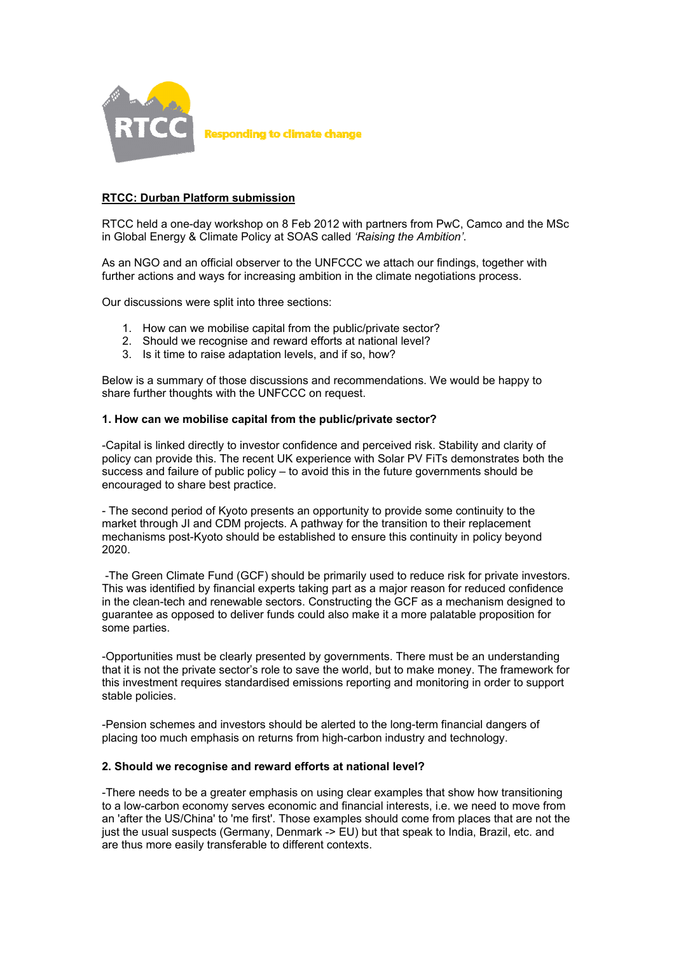

# **RTCC: Durban Platform submission**

RTCC held a one-day workshop on 8 Feb 2012 with partners from PwC, Camco and the MSc in Global Energy & Climate Policy at SOAS called *ëRaising the Ambitioní*.

As an NGO and an official observer to the UNFCCC we attach our findings, together with further actions and ways for increasing ambition in the climate negotiations process.

Our discussions were split into three sections:

- 1. How can we mobilise capital from the public/private sector?
- 2. Should we recognise and reward efforts at national level?
- 3. Is it time to raise adaptation levels, and if so, how?

Below is a summary of those discussions and recommendations. We would be happy to share further thoughts with the UNFCCC on request.

## **1. How can we mobilise capital from the public/private sector?**

-Capital is linked directly to investor confidence and perceived risk. Stability and clarity of policy can provide this. The recent UK experience with Solar PV FiTs demonstrates both the success and failure of public policy  $-$  to avoid this in the future governments should be encouraged to share best practice.

- The second period of Kyoto presents an opportunity to provide some continuity to the market through JI and CDM projects. A pathway for the transition to their replacement mechanisms post-Kyoto should be established to ensure this continuity in policy beyond 2020.

 -The Green Climate Fund (GCF) should be primarily used to reduce risk for private investors. This was identified by financial experts taking part as a major reason for reduced confidence in the clean-tech and renewable sectors. Constructing the GCF as a mechanism designed to guarantee as opposed to deliver funds could also make it a more palatable proposition for some parties.

-Opportunities must be clearly presented by governments. There must be an understanding that it is not the private sector's role to save the world, but to make money. The framework for this investment requires standardised emissions reporting and monitoring in order to support stable policies.

-Pension schemes and investors should be alerted to the long-term financial dangers of placing too much emphasis on returns from high-carbon industry and technology.

### **2. Should we recognise and reward efforts at national level?**

-There needs to be a greater emphasis on using clear examples that show how transitioning to a low-carbon economy serves economic and financial interests, i.e. we need to move from an 'after the US/China' to 'me first'. Those examples should come from places that are not the just the usual suspects (Germany, Denmark -> EU) but that speak to India, Brazil, etc. and are thus more easily transferable to different contexts.